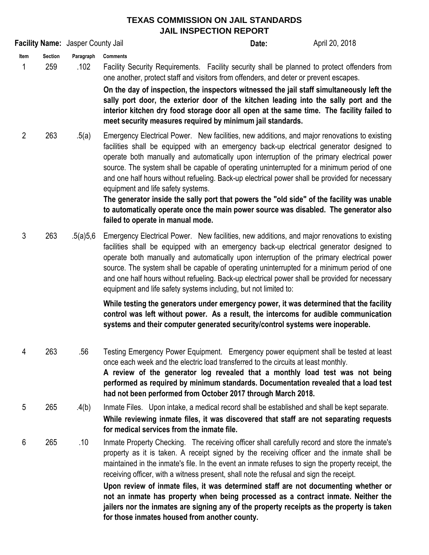## **TEXAS COMMISSION ON JAIL STANDARDS JAIL INSPECTION REPORT**

**Date: Item Section Paragraph** 1 259 .102 **Comments** Facility Security Requirements. Facility security shall be planned to protect offenders from one another, protect staff and visitors from offenders, and deter or prevent escapes. **Facility Name:** Jasper County Jail **April 20, 2018 Date: Date:** April 20, 2018

**On the day of inspection, the inspectors witnessed the jail staff simultaneously left the sally port door, the exterior door of the kitchen leading into the sally port and the interior kitchen dry food storage door all open at the same time. The facility failed to meet security measures required by minimum jail standards.** 

2 263 .5(a) Emergency Electrical Power. New facilities, new additions, and major renovations to existing facilities shall be equipped with an emergency back-up electrical generator designed to operate both manually and automatically upon interruption of the primary electrical power source. The system shall be capable of operating uninterrupted for a minimum period of one and one half hours without refueling. Back-up electrical power shall be provided for necessary equipment and life safety systems.

> **The generator inside the sally port that powers the "old side" of the facility was unable to automatically operate once the main power source was disabled. The generator also failed to operate in manual mode.**

3 263 .5(a)5,6 Emergency Electrical Power. New facilities, new additions, and major renovations to existing facilities shall be equipped with an emergency back-up electrical generator designed to operate both manually and automatically upon interruption of the primary electrical power source. The system shall be capable of operating uninterrupted for a minimum period of one and one half hours without refueling. Back-up electrical power shall be provided for necessary equipment and life safety systems including, but not limited to:

> **While testing the generators under emergency power, it was determined that the facility control was left without power. As a result, the intercoms for audible communication systems and their computer generated security/control systems were inoperable.**

- 4 263 .56 Testing Emergency Power Equipment. Emergency power equipment shall be tested at least once each week and the electric load transferred to the circuits at least monthly. **A review of the generator log revealed that a monthly load test was not being performed as required by minimum standards. Documentation revealed that a load test had not been performed from October 2017 through March 2018.**
- 5 265 .4(b) Inmate Files. Upon intake, a medical record shall be established and shall be kept separate. **While reviewing inmate files, it was discovered that staff are not separating requests for medical services from the inmate file.**
- 6 265 .10 Inmate Property Checking. The receiving officer shall carefully record and store the inmate's property as it is taken. A receipt signed by the receiving officer and the inmate shall be maintained in the inmate's file. In the event an inmate refuses to sign the property receipt, the receiving officer, with a witness present, shall note the refusal and sign the receipt.

**Upon review of inmate files, it was determined staff are not documenting whether or not an inmate has property when being processed as a contract inmate. Neither the jailers nor the inmates are signing any of the property receipts as the property is taken for those inmates housed from another county.**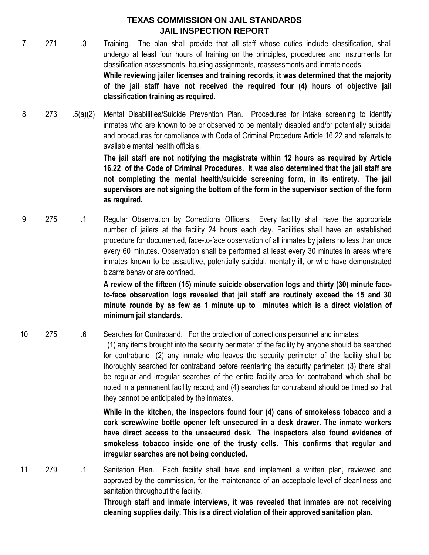## **TEXAS COMMISSION ON JAIL STANDARDS JAIL INSPECTION REPORT**

- 7 271 .3 **While reviewing jailer licenses and training records, it was determined that the majority of the jail staff have not received the required four (4) hours of objective jail classification training as required.**  Training. The plan shall provide that all staff whose duties include classification, shall undergo at least four hours of training on the principles, procedures and instruments for classification assessments, housing assignments, reassessments and inmate needs.
- 8 273 .5(a)(2) Mental Disabilities/Suicide Prevention Plan. Procedures for intake screening to identify inmates who are known to be or observed to be mentally disabled and/or potentially suicidal and procedures for compliance with Code of Criminal Procedure Article 16.22 and referrals to available mental health officials.

**The jail staff are not notifying the magistrate within 12 hours as required by Article 16.22 of the Code of Criminal Procedures. It was also determined that the jail staff are not completing the mental health/suicide screening form, in its entirety. The jail supervisors are not signing the bottom of the form in the supervisor section of the form as required.**

9 275 .1 Regular Observation by Corrections Officers. Every facility shall have the appropriate number of jailers at the facility 24 hours each day. Facilities shall have an established procedure for documented, face-to-face observation of all inmates by jailers no less than once every 60 minutes. Observation shall be performed at least every 30 minutes in areas where inmates known to be assaultive, potentially suicidal, mentally ill, or who have demonstrated bizarre behavior are confined.

> **A review of the fifteen (15) minute suicide observation logs and thirty (30) minute faceto-face observation logs revealed that jail staff are routinely exceed the 15 and 30 minute rounds by as few as 1 minute up to minutes which is a direct violation of minimum jail standards.**

10 275 .6 Searches for Contraband. For the protection of corrections personnel and inmates:

> (1) any items brought into the security perimeter of the facility by anyone should be searched for contraband; (2) any inmate who leaves the security perimeter of the facility shall be thoroughly searched for contraband before reentering the security perimeter; (3) there shall be regular and irregular searches of the entire facility area for contraband which shall be noted in a permanent facility record; and (4) searches for contraband should be timed so that they cannot be anticipated by the inmates.

> **While in the kitchen, the inspectors found four (4) cans of smokeless tobacco and a cork screw/wine bottle opener left unsecured in a desk drawer. The inmate workers have direct access to the unsecured desk. The inspectors also found evidence of smokeless tobacco inside one of the trusty cells. This confirms that regular and irregular searches are not being conducted.**

11 279 .1 Sanitation Plan. Each facility shall have and implement a written plan, reviewed and approved by the commission, for the maintenance of an acceptable level of cleanliness and sanitation throughout the facility. **Through staff and inmate interviews, it was revealed that inmates are not receiving**

**cleaning supplies daily. This is a direct violation of their approved sanitation plan.**